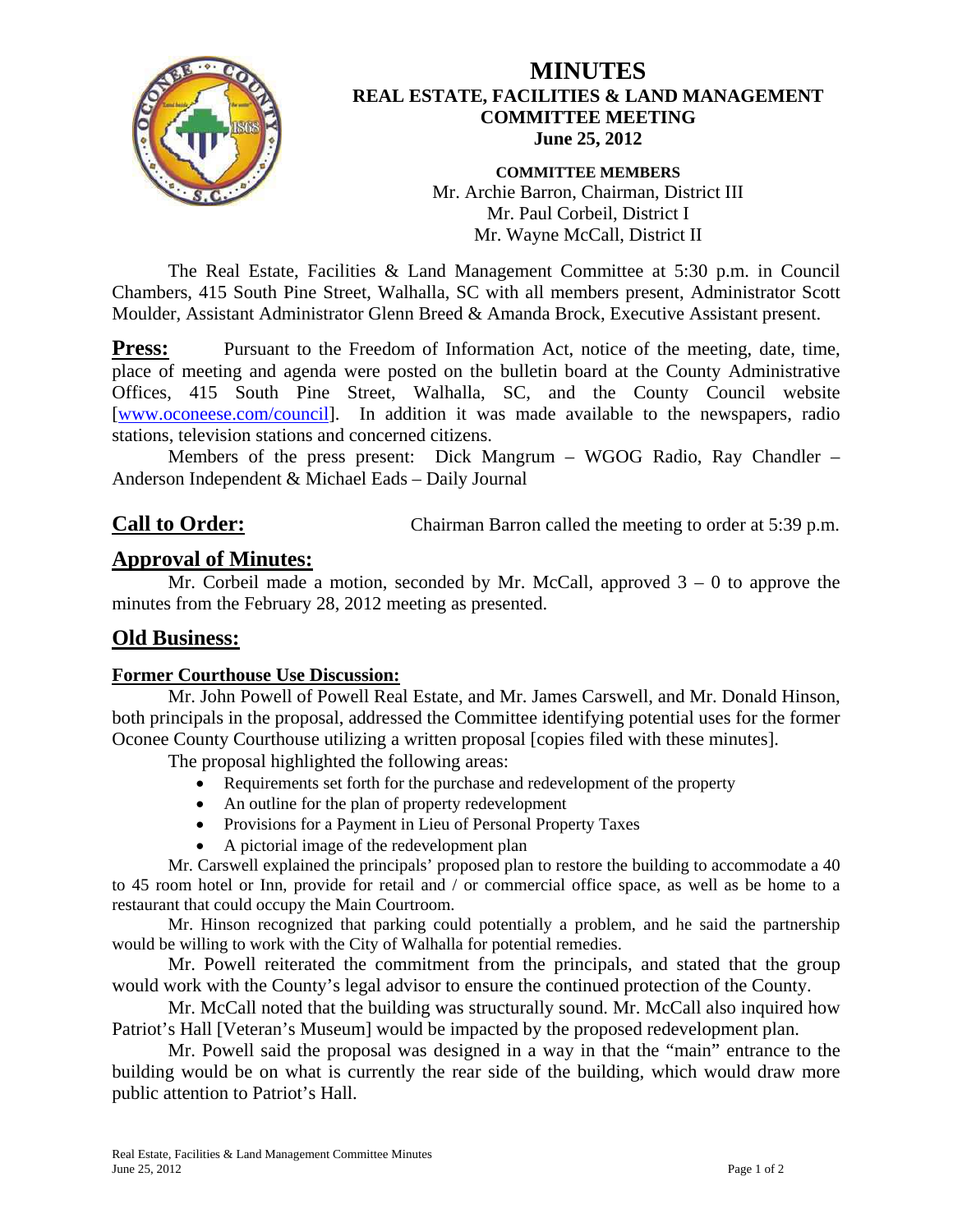

### **MINUTES REAL ESTATE, FACILITIES & LAND MANAGEMENT COMMITTEE MEETING June 25, 2012**

**COMMITTEE MEMBERS**  Mr. Archie Barron, Chairman, District III Mr. Paul Corbeil, District I Mr. Wayne McCall, District II

 The Real Estate, Facilities & Land Management Committee at 5:30 p.m. in Council Chambers, 415 South Pine Street, Walhalla, SC with all members present, Administrator Scott Moulder, Assistant Administrator Glenn Breed & Amanda Brock, Executive Assistant present.

**Press:** Pursuant to the Freedom of Information Act, notice of the meeting, date, time, place of meeting and agenda were posted on the bulletin board at the County Administrative Offices, 415 South Pine Street, Walhalla, SC, and the County Council website [www.oconeese.com/council]. In addition it was made available to the newspapers, radio stations, television stations and concerned citizens.

 Members of the press present: Dick Mangrum – WGOG Radio, Ray Chandler – Anderson Independent & Michael Eads – Daily Journal

# **Call to Order:** Chairman Barron called the meeting to order at 5:39 p.m.

# **Approval of Minutes:**

Mr. Corbeil made a motion, seconded by Mr. McCall, approved  $3 - 0$  to approve the minutes from the February 28, 2012 meeting as presented.

### **Old Business:**

#### **Former Courthouse Use Discussion:**

Mr. John Powell of Powell Real Estate, and Mr. James Carswell, and Mr. Donald Hinson, both principals in the proposal, addressed the Committee identifying potential uses for the former Oconee County Courthouse utilizing a written proposal [copies filed with these minutes].

The proposal highlighted the following areas:

- Requirements set forth for the purchase and redevelopment of the property
- An outline for the plan of property redevelopment
- Provisions for a Payment in Lieu of Personal Property Taxes
- A pictorial image of the redevelopment plan

Mr. Carswell explained the principals' proposed plan to restore the building to accommodate a 40 to 45 room hotel or Inn, provide for retail and / or commercial office space, as well as be home to a restaurant that could occupy the Main Courtroom.

Mr. Hinson recognized that parking could potentially a problem, and he said the partnership would be willing to work with the City of Walhalla for potential remedies.

Mr. Powell reiterated the commitment from the principals, and stated that the group would work with the County's legal advisor to ensure the continued protection of the County.

Mr. McCall noted that the building was structurally sound. Mr. McCall also inquired how Patriot's Hall [Veteran's Museum] would be impacted by the proposed redevelopment plan.

Mr. Powell said the proposal was designed in a way in that the "main" entrance to the building would be on what is currently the rear side of the building, which would draw more public attention to Patriot's Hall.